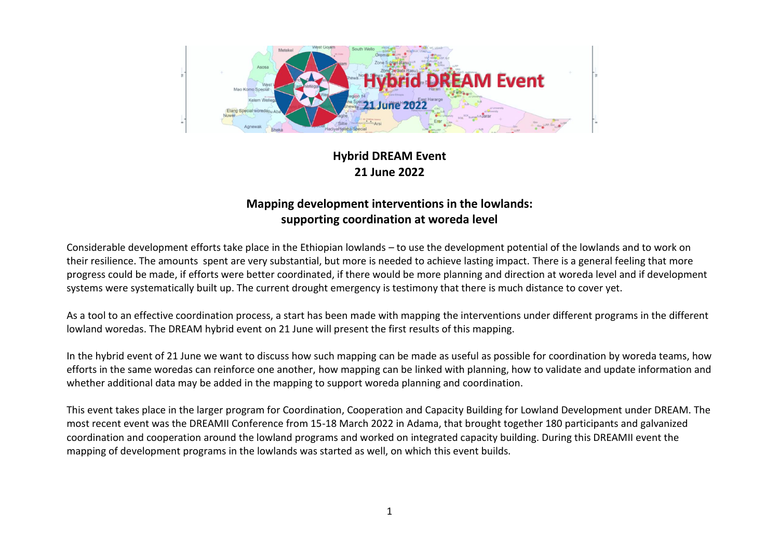

## **Hybrid DREAM Event 21 June 2022**

## **Mapping development interventions in the lowlands: supporting coordination at woreda level**

Considerable development efforts take place in the Ethiopian lowlands – to use the development potential of the lowlands and to work on their resilience. The amounts spent are very substantial, but more is needed to achieve lasting impact. There is a general feeling that more progress could be made, if efforts were better coordinated, if there would be more planning and direction at woreda level and if development systems were systematically built up. The current drought emergency is testimony that there is much distance to cover yet.

As a tool to an effective coordination process, a start has been made with mapping the interventions under different programs in the different lowland woredas. The DREAM hybrid event on 21 June will present the first results of this mapping.

In the hybrid event of 21 June we want to discuss how such mapping can be made as useful as possible for coordination by woreda teams, how efforts in the same woredas can reinforce one another, how mapping can be linked with planning, how to validate and update information and whether additional data may be added in the mapping to support woreda planning and coordination.

This event takes place in the larger program for Coordination, Cooperation and Capacity Building for Lowland Development under DREAM. The most recent event was the DREAMII Conference from 15-18 March 2022 in Adama, that brought together 180 participants and galvanized coordination and cooperation around the lowland programs and worked on integrated capacity building. During this DREAMII event the mapping of development programs in the lowlands was started as well, on which this event builds.